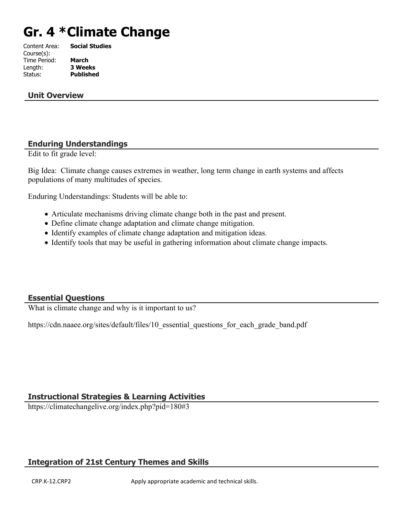# **Gr. 4 \*Climate Change**

| Content Area: | <b>Social Studies</b> |
|---------------|-----------------------|
| Course(s):    |                       |
| Time Period:  | <b>March</b>          |
| Length:       | <b>3 Weeks</b>        |
| Status:       | <b>Published</b>      |
|               |                       |

#### **Unit Overview**

#### **Enduring Understandings**

Edit to fit grade level:

Big Idea: Climate change causes extremes in weather, long term change in earth systems and affects populations of many multitudes of species.

Enduring Understandings: Students will be able to:

- Articulate mechanisms driving climate change both in the past and present.
- Define climate change adaptation and climate change mitigation.
- Identify examples of climate change adaptation and mitigation ideas.
- Identify tools that may be useful in gathering information about climate change impacts.

## **Essential Questions**

What is climate change and why is it important to us?

https://cdn.naaee.org/sites/default/files/10 essential questions for each grade band.pdf

## **Instructional Strategies & Learning Activities**

https://climatechangelive.org/index.php?pid=180#3

## **Integration of 21st Century Themes and Skills**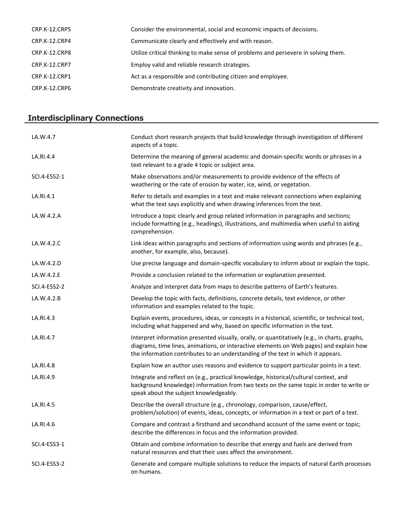| CRP.K-12.CRP5        | Consider the environmental, social and economic impacts of decisions.              |
|----------------------|------------------------------------------------------------------------------------|
| CRP.K-12.CRP4        | Communicate clearly and effectively and with reason.                               |
| CRP.K-12.CRP8        | Utilize critical thinking to make sense of problems and persevere in solving them. |
| <b>CRP.K-12.CRP7</b> | Employ valid and reliable research strategies.                                     |
| CRP.K-12.CRP1        | Act as a responsible and contributing citizen and employee.                        |
| CRP.K-12.CRP6        | Demonstrate creativity and innovation.                                             |
|                      |                                                                                    |

# **Interdisciplinary Connections**

| LA.W.4.7     | Conduct short research projects that build knowledge through investigation of different<br>aspects of a topic.                                                                                                                                                               |
|--------------|------------------------------------------------------------------------------------------------------------------------------------------------------------------------------------------------------------------------------------------------------------------------------|
| LA.RI.4.4    | Determine the meaning of general academic and domain-specific words or phrases in a<br>text relevant to a grade 4 topic or subject area.                                                                                                                                     |
| SCI.4-ESS2-1 | Make observations and/or measurements to provide evidence of the effects of<br>weathering or the rate of erosion by water, ice, wind, or vegetation.                                                                                                                         |
| LA.RI.4.1    | Refer to details and examples in a text and make relevant connections when explaining<br>what the text says explicitly and when drawing inferences from the text.                                                                                                            |
| LA.W.4.2.A   | Introduce a topic clearly and group related information in paragraphs and sections;<br>include formatting (e.g., headings), illustrations, and multimedia when useful to aiding<br>comprehension.                                                                            |
| LA.W.4.2.C   | Link ideas within paragraphs and sections of information using words and phrases (e.g.,<br>another, for example, also, because).                                                                                                                                             |
| LA.W.4.2.D   | Use precise language and domain-specific vocabulary to inform about or explain the topic.                                                                                                                                                                                    |
| LA.W.4.2.E   | Provide a conclusion related to the information or explanation presented.                                                                                                                                                                                                    |
| SCI.4-ESS2-2 | Analyze and interpret data from maps to describe patterns of Earth's features.                                                                                                                                                                                               |
| LA.W.4.2.B   | Develop the topic with facts, definitions, concrete details, text evidence, or other<br>information and examples related to the topic.                                                                                                                                       |
| LA.RI.4.3    | Explain events, procedures, ideas, or concepts in a historical, scientific, or technical text,<br>including what happened and why, based on specific information in the text.                                                                                                |
| LA.RI.4.7    | Interpret information presented visually, orally, or quantitatively (e.g., in charts, graphs,<br>diagrams, time lines, animations, or interactive elements on Web pages) and explain how<br>the information contributes to an understanding of the text in which it appears. |
| LA.RI.4.8    | Explain how an author uses reasons and evidence to support particular points in a text.                                                                                                                                                                                      |
| LA.RI.4.9    | Integrate and reflect on (e.g., practical knowledge, historical/cultural context, and<br>background knowledge) information from two texts on the same topic in order to write or<br>speak about the subject knowledgeably.                                                   |
| LA.RI.4.5    | Describe the overall structure (e.g., chronology, comparison, cause/effect,<br>problem/solution) of events, ideas, concepts, or information in a text or part of a text.                                                                                                     |
| LA.RI.4.6    | Compare and contrast a firsthand and secondhand account of the same event or topic;<br>describe the differences in focus and the information provided.                                                                                                                       |
| SCI.4-ESS3-1 | Obtain and combine information to describe that energy and fuels are derived from<br>natural resources and that their uses affect the environment.                                                                                                                           |
| SCI.4-ESS3-2 | Generate and compare multiple solutions to reduce the impacts of natural Earth processes<br>on humans.                                                                                                                                                                       |